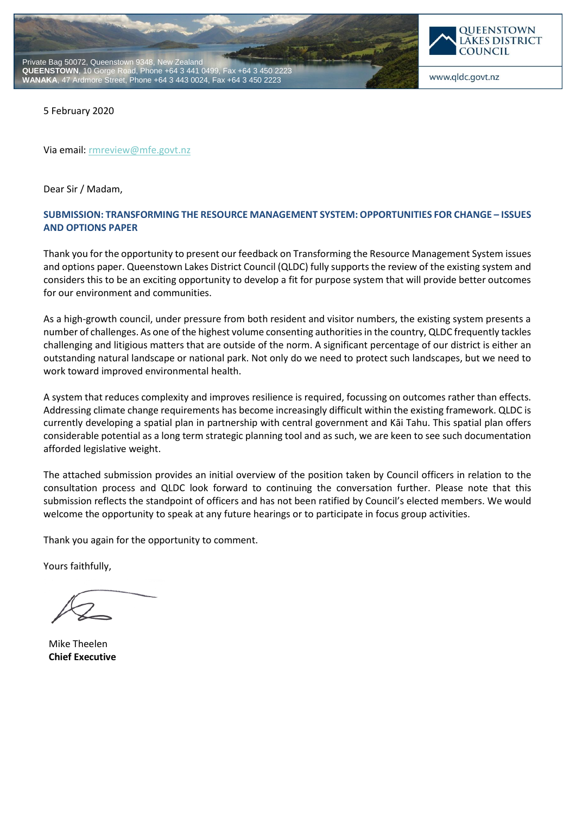



www.qldc.govt.nz

5 February 2020

Via email[: rmreview@mfe.govt.nz](mailto:rmreview@mfe.govt.nz)

Dear Sir / Madam,

# **SUBMISSION: TRANSFORMING THE RESOURCE MANAGEMENT SYSTEM: OPPORTUNITIES FOR CHANGE – ISSUES AND OPTIONS PAPER**

Thank you for the opportunity to present our feedback on Transforming the Resource Management System issues and options paper. Queenstown Lakes District Council (QLDC) fully supports the review of the existing system and considers this to be an exciting opportunity to develop a fit for purpose system that will provide better outcomes for our environment and communities.

As a high-growth council, under pressure from both resident and visitor numbers, the existing system presents a number of challenges. As one of the highest volume consenting authorities in the country, QLDC frequently tackles challenging and litigious matters that are outside of the norm. A significant percentage of our district is either an outstanding natural landscape or national park. Not only do we need to protect such landscapes, but we need to work toward improved environmental health.

A system that reduces complexity and improves resilience is required, focussing on outcomes rather than effects. Addressing climate change requirements has become increasingly difficult within the existing framework. QLDC is currently developing a spatial plan in partnership with central government and Kāi Tahu. This spatial plan offers considerable potential as a long term strategic planning tool and as such, we are keen to see such documentation afforded legislative weight.

The attached submission provides an initial overview of the position taken by Council officers in relation to the consultation process and QLDC look forward to continuing the conversation further. Please note that this submission reflects the standpoint of officers and has not been ratified by Council's elected members. We would welcome the opportunity to speak at any future hearings or to participate in focus group activities.

Thank you again for the opportunity to comment.

Yours faithfully,

Mike Theelen **Chief Executive**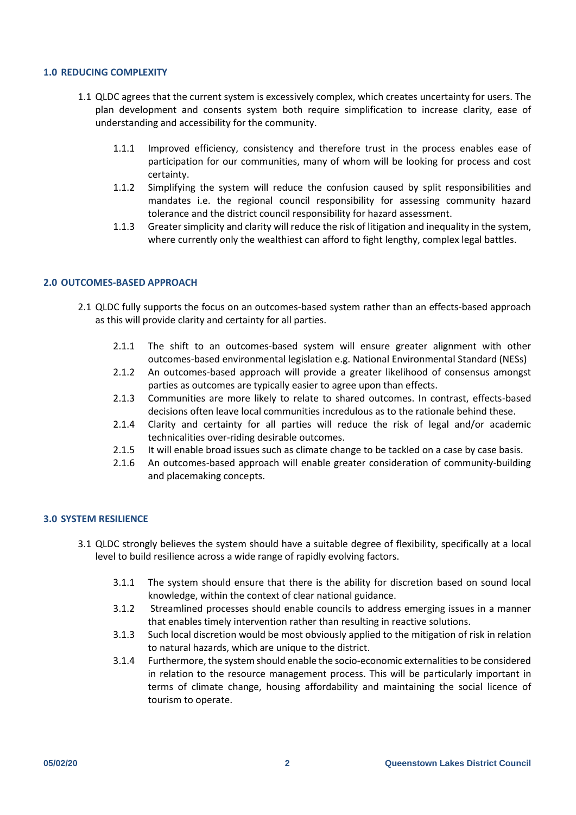### **1.0 REDUCING COMPLEXITY**

- 1.1 QLDC agrees that the current system is excessively complex, which creates uncertainty for users. The plan development and consents system both require simplification to increase clarity, ease of understanding and accessibility for the community.
	- 1.1.1 Improved efficiency, consistency and therefore trust in the process enables ease of participation for our communities, many of whom will be looking for process and cost certainty.
	- 1.1.2 Simplifying the system will reduce the confusion caused by split responsibilities and mandates i.e. the regional council responsibility for assessing community hazard tolerance and the district council responsibility for hazard assessment.
	- 1.1.3 Greater simplicity and clarity will reduce the risk of litigation and inequality in the system, where currently only the wealthiest can afford to fight lengthy, complex legal battles.

#### **2.0 OUTCOMES-BASED APPROACH**

- 2.1 QLDC fully supports the focus on an outcomes-based system rather than an effects-based approach as this will provide clarity and certainty for all parties.
	- 2.1.1 The shift to an outcomes-based system will ensure greater alignment with other outcomes-based environmental legislation e.g. National Environmental Standard (NESs)
	- 2.1.2 An outcomes-based approach will provide a greater likelihood of consensus amongst parties as outcomes are typically easier to agree upon than effects.
	- 2.1.3 Communities are more likely to relate to shared outcomes. In contrast, effects-based decisions often leave local communities incredulous as to the rationale behind these.
	- 2.1.4 Clarity and certainty for all parties will reduce the risk of legal and/or academic technicalities over-riding desirable outcomes.
	- 2.1.5 It will enable broad issues such as climate change to be tackled on a case by case basis.
	- 2.1.6 An outcomes-based approach will enable greater consideration of community-building and placemaking concepts.

#### **3.0 SYSTEM RESILIENCE**

- 3.1 QLDC strongly believes the system should have a suitable degree of flexibility, specifically at a local level to build resilience across a wide range of rapidly evolving factors.
	- 3.1.1 The system should ensure that there is the ability for discretion based on sound local knowledge, within the context of clear national guidance.
	- 3.1.2 Streamlined processes should enable councils to address emerging issues in a manner that enables timely intervention rather than resulting in reactive solutions.
	- 3.1.3 Such local discretion would be most obviously applied to the mitigation of risk in relation to natural hazards, which are unique to the district.
	- 3.1.4 Furthermore, the system should enable the socio-economic externalities to be considered in relation to the resource management process. This will be particularly important in terms of climate change, housing affordability and maintaining the social licence of tourism to operate.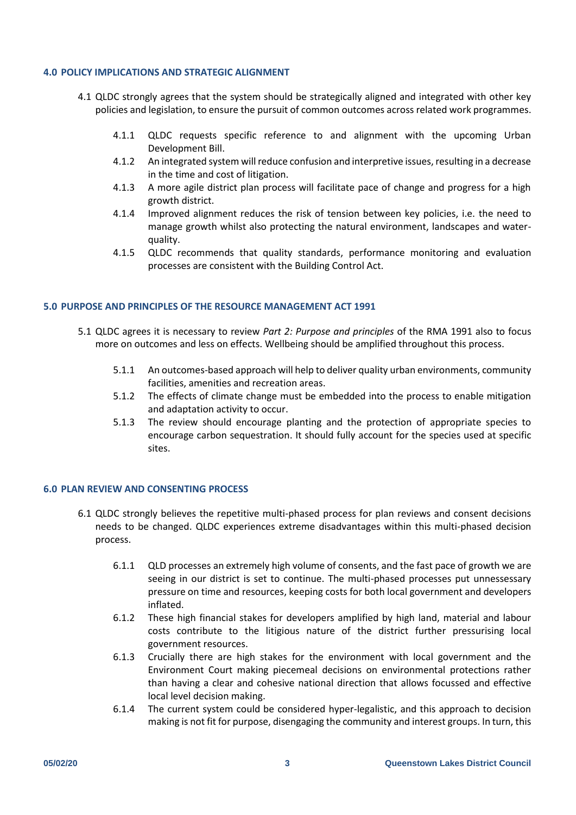### **4.0 POLICY IMPLICATIONS AND STRATEGIC ALIGNMENT**

- 4.1 QLDC strongly agrees that the system should be strategically aligned and integrated with other key policies and legislation, to ensure the pursuit of common outcomes across related work programmes.
	- 4.1.1 QLDC requests specific reference to and alignment with the upcoming Urban Development Bill.
	- 4.1.2 An integrated system will reduce confusion and interpretive issues, resulting in a decrease in the time and cost of litigation.
	- 4.1.3 A more agile district plan process will facilitate pace of change and progress for a high growth district.
	- 4.1.4 Improved alignment reduces the risk of tension between key policies, i.e. the need to manage growth whilst also protecting the natural environment, landscapes and waterquality.
	- 4.1.5 QLDC recommends that quality standards, performance monitoring and evaluation processes are consistent with the Building Control Act.

#### **5.0 PURPOSE AND PRINCIPLES OF THE RESOURCE MANAGEMENT ACT 1991**

- 5.1 QLDC agrees it is necessary to review *Part 2: Purpose and principles* of the RMA 1991 also to focus more on outcomes and less on effects. Wellbeing should be amplified throughout this process.
	- 5.1.1 An outcomes-based approach will help to deliver quality urban environments, community facilities, amenities and recreation areas.
	- 5.1.2 The effects of climate change must be embedded into the process to enable mitigation and adaptation activity to occur.
	- 5.1.3 The review should encourage planting and the protection of appropriate species to encourage carbon sequestration. It should fully account for the species used at specific sites.

## **6.0 PLAN REVIEW AND CONSENTING PROCESS**

- 6.1 QLDC strongly believes the repetitive multi-phased process for plan reviews and consent decisions needs to be changed. QLDC experiences extreme disadvantages within this multi-phased decision process.
	- 6.1.1 QLD processes an extremely high volume of consents, and the fast pace of growth we are seeing in our district is set to continue. The multi-phased processes put unnessessary pressure on time and resources, keeping costs for both local government and developers inflated.
	- 6.1.2 These high financial stakes for developers amplified by high land, material and labour costs contribute to the litigious nature of the district further pressurising local government resources.
	- 6.1.3 Crucially there are high stakes for the environment with local government and the Environment Court making piecemeal decisions on environmental protections rather than having a clear and cohesive national direction that allows focussed and effective local level decision making.
	- 6.1.4 The current system could be considered hyper-legalistic, and this approach to decision making is not fit for purpose, disengaging the community and interest groups. In turn, this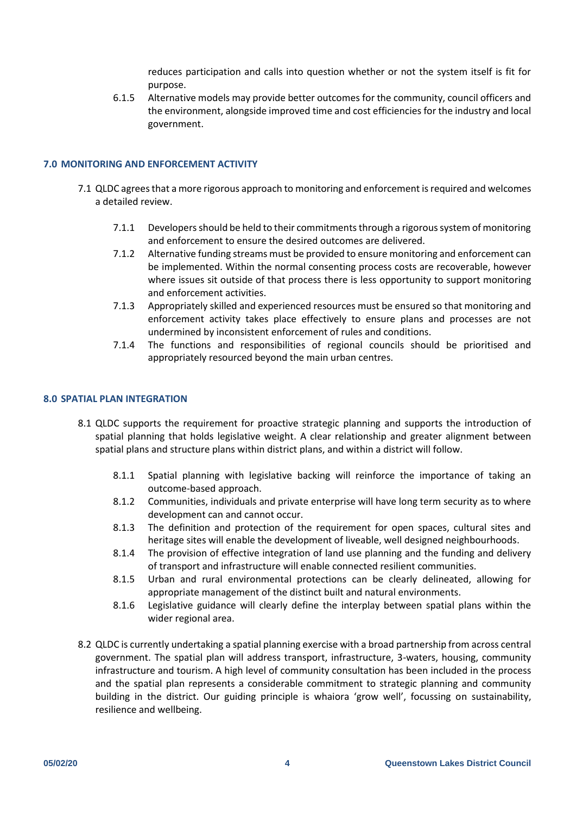reduces participation and calls into question whether or not the system itself is fit for purpose.

6.1.5 Alternative models may provide better outcomes for the community, council officers and the environment, alongside improved time and cost efficiencies for the industry and local government.

### **7.0 MONITORING AND ENFORCEMENT ACTIVITY**

- 7.1 QLDC agrees that a more rigorous approach to monitoring and enforcement is required and welcomes a detailed review.
	- 7.1.1 Developers should be held to their commitments through a rigorous system of monitoring and enforcement to ensure the desired outcomes are delivered.
	- 7.1.2 Alternative funding streams must be provided to ensure monitoring and enforcement can be implemented. Within the normal consenting process costs are recoverable, however where issues sit outside of that process there is less opportunity to support monitoring and enforcement activities.
	- 7.1.3 Appropriately skilled and experienced resources must be ensured so that monitoring and enforcement activity takes place effectively to ensure plans and processes are not undermined by inconsistent enforcement of rules and conditions.
	- 7.1.4 The functions and responsibilities of regional councils should be prioritised and appropriately resourced beyond the main urban centres.

#### **8.0 SPATIAL PLAN INTEGRATION**

- 8.1 QLDC supports the requirement for proactive strategic planning and supports the introduction of spatial planning that holds legislative weight. A clear relationship and greater alignment between spatial plans and structure plans within district plans, and within a district will follow.
	- 8.1.1 Spatial planning with legislative backing will reinforce the importance of taking an outcome-based approach.
	- 8.1.2 Communities, individuals and private enterprise will have long term security as to where development can and cannot occur.
	- 8.1.3 The definition and protection of the requirement for open spaces, cultural sites and heritage sites will enable the development of liveable, well designed neighbourhoods.
	- 8.1.4 The provision of effective integration of land use planning and the funding and delivery of transport and infrastructure will enable connected resilient communities.
	- 8.1.5 Urban and rural environmental protections can be clearly delineated, allowing for appropriate management of the distinct built and natural environments.
	- 8.1.6 Legislative guidance will clearly define the interplay between spatial plans within the wider regional area.
- 8.2 QLDC is currently undertaking a spatial planning exercise with a broad partnership from across central government. The spatial plan will address transport, infrastructure, 3-waters, housing, community infrastructure and tourism. A high level of community consultation has been included in the process and the spatial plan represents a considerable commitment to strategic planning and community building in the district. Our guiding principle is whaiora 'grow well', focussing on sustainability, resilience and wellbeing.